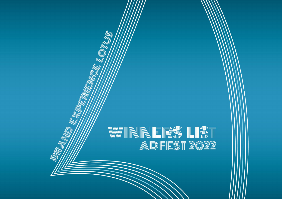# WINNNERS LIST<br>Adfest 2022

NEW ONUS

d)

W

Q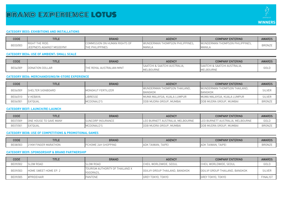

# **CATEGORY BE03: EXHIBITIONS AND INSTALLATIONS**

| CODE     | <b>TITLE</b>                   | <b>BRAND</b>                  | <b>AGENCY</b>                   | <b>COMPANY ENTERING</b>         | <b>AWARDS</b> |
|----------|--------------------------------|-------------------------------|---------------------------------|---------------------------------|---------------|
|          | <b>RIGHT THE RIDE:</b>         | COMMISSION ON HUMAN RIGHTS OF | WUNDERMAN THOMPSON PHILIPPINES. | WUNDERMAN THOMPSON PHILIPPINES. | <b>BRONZE</b> |
| BE03/003 | EPNEYS AGAINST MISOGYNY<br>JEF | <b>EPHILIPPINES</b><br>ITHE   | <b>MANILA</b>                   | <b>MANILA</b>                   |               |

#### **CATEGORY BE04: USE OF AMBIENT: SMALL SCALE**

| CODE     | TITLE                  | <b>BRAND</b>                      | <b>AGENCY</b>                 | <b>COMPANY ENTERING</b>       | <b>AWARDS</b> |
|----------|------------------------|-----------------------------------|-------------------------------|-------------------------------|---------------|
| BE04/009 | <b>DONATION DOLLAR</b> | . AUSTRALIAN MINT<br>ROYAL<br>THF | ISAATCHI & SAATCHI AUSTRALIA. | ISAATCHI & SAATCHI AUSTRALIA. | GOLD          |
|          |                        |                                   | MELBOURNE                     | MELBOURNE                     |               |

# **CATEGORY BE06: MERCHANDISING/IN-STORE EXPERIENCE**

| <b>CODE</b>                            | TITLE.   | <b>BRAND</b>       | <b>AGENCY</b>                | <b>COMPANY ENTERING</b>        | <b>AWARDS</b> |
|----------------------------------------|----------|--------------------|------------------------------|--------------------------------|---------------|
| BE06/009<br><b>I</b> SHELTER SIGNBOARD |          | MONGKUT FERTILIZER | WUNDERMAN THOMPSON THAILAND. | WUNDERMAN THOMPSON THAILAND.   | <b>SILVEF</b> |
|                                        |          |                    | <b>BANGKOK</b>               | <b>BANGKOK</b>                 |               |
| BE06/010                               | V-KEBAYA | LIBRESSE           | MUMA MALAYSIA, KUALA LUMPUR  | MUMA MALAYSIA. KUALA LUMPUR    | <b>SILVER</b> |
| BE06/001                               | EATQUAL  | MCDONALD'S         | DDB MUDRA GROUP, MUMBAI      | <b>DDB MUDRA GROUP, MUMBAL</b> | <b>BRONZE</b> |

# **CATEGORY BE07: LAUNCH/RE-LAUNCH**

| <b>CODE</b> | <b>TITLE</b>         | <b>BRAND</b>      | <b>AGENCY</b>                    | <b>COMPANY ENTERING</b>          | <b>AWARDS</b> |
|-------------|----------------------|-------------------|----------------------------------|----------------------------------|---------------|
| BE07/009    | E HOUSE TO SAVE MANY | SUNCORP INSURANCE | LEO BURNETT AUSTRALIA, MELBOURNE | LEO BURNETT AUSTRALIA, MELBOURNE | GOLD          |
| BE07/001    | EATQUAL              | MCDONALD'S        | <b>DDB MUDRA GROUP, MUMBAI</b>   | DDB MUDRA GROUP, MUMBAI          | BRONZE        |

# **CATEGORY BE08: USE OF COMPETITIONS & PROMOTIONAL GAMES**

| CODE     | <b>TITLE</b>                                 | <b>BRAND</b>                     | <b>AGENCY</b>                         | <b>COMPANY ENTERING</b>                              | <b>AWARDS</b> |
|----------|----------------------------------------------|----------------------------------|---------------------------------------|------------------------------------------------------|---------------|
| BE08/003 | 171101<br><b>21KM</b><br>NGE<br>K MARATHUN . | <b>MPPING</b><br>24H SHUI<br>. . | $T \wedge T$<br>aiwan<br>`AIFE<br>ADM | <b>TAIPE</b><br>11AIA<br><b>TAIWAN</b><br><b>ADK</b> | <b>BRONZI</b> |

#### **CATEGORY BE09: SPONSORSHIP & BRAND PARTNERSHIP**

| CODE     | <b>TITLE</b>          | <b>BRAND</b>                                 | <b>AGENCY</b>                  | <b>COMPANY ENTERING</b>        | <b>AWARDS</b>   |
|----------|-----------------------|----------------------------------------------|--------------------------------|--------------------------------|-----------------|
| BE09/002 | <b>SLOW ROAD</b>      | <b>SLOW ROAD</b>                             | CHEIL WORLDWIDE, SEOUL         | CHEIL WORLDWIDE, SEOUL         | GOLD            |
| BE09/003 | HOME SWEET HOME EP. 2 | TOURISM AUTHORITY OF THAILAND X<br>YGGDRAZIL | OGILVY GROUP THAILAND, BANGKOK | OGILVY GROUP THAILAND, BANGKOK | <b>SILVER</b>   |
| BE09/005 | #PRIDEHAIR            | PANTENE                                      | GREY TOKYO, TOKYO              | <b>IGREY TOKYO, TOKYO</b>      | <b>FINALIST</b> |